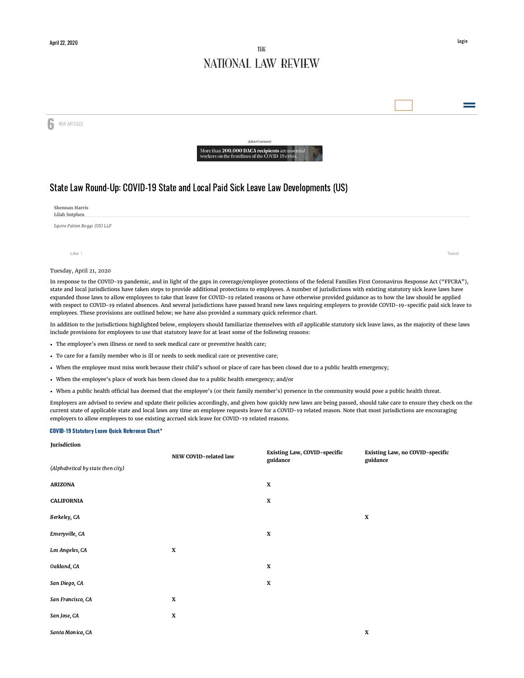# THE NATIONAL LAW REVIEW

**6** NEW ARTICLES



## Advertise More than 200,000 DACA <mark>recipients</mark> are esse<br>workers on the frontlines of the COVID-19 crisi

## State Law Round-Up: COVID-19 State and Local Paid Sick Leave Law Developments (US)

| Shennan Harris<br>Lilah Sutphen |       |
|---------------------------------|-------|
| Squire Patton Boggs (US) LLP    |       |
|                                 |       |
| Like 1                          | Tweet |
| Tuesday, April 21, 2020         |       |

In response to the COVID-19 pandemic, and in light of the gaps in coverage/employee protections of the federal Families First Coronavirus Response Act ("FFCRA"), state and local jurisdictions have taken steps to provide additional protections to employees. A number of jurisdictions with existing statutory sick leave laws have expanded those laws to allow employees to take that leave for COVID-19 related reasons or have otherwise provided guidance as to how the law should be applied with respect to COVID-19 related absences. And several jurisdictions have passed brand new laws requiring employers to provide COVID-19-specific paid sick leave to employees. These provisions are outlined below; we have also provided a summary quick reference chart.

In addition to the jurisdictions highlighted below, employers should familiarize themselves with all applicable statutory sick leave laws, as the majority of these laws include provisions for employees to use that statutory leave for at least some of the following reasons:

- The employee's own illness or need to seek medical care or preventive health care;
- To care for a family member who is ill or needs to seek medical care or preventive care;
- When the employee must miss work because their child's school or place of care has been closed due to a public health emergency;
- When the employee's place of work has been closed due to a public health emergency; and/or
- When a public health official has deemed that the employee's (or their family member's) presence in the community would pose a public health threat.

Employers are advised to review and update their policies accordingly, and given how quickly new laws are being passed, should take care to ensure they check on the current state of applicable state and local laws any time an employee requests leave for a COVID-19 related reason. Note that most jurisdictions are encouraging employers to allow employees to use existing accrued sick leave for COVID-19 related reasons.

#### COVID-19 Statutory Leave Quick Reference Chart\*

#### **Jurisdiction**

|                                   | NEW COVID-related law | Existing Law, COVID-specific<br>guidance | Existing Law, no COVID-specific<br>guidance |
|-----------------------------------|-----------------------|------------------------------------------|---------------------------------------------|
| (Alphabetical by state then city) |                       |                                          |                                             |
| <b>ARIZONA</b>                    |                       | $\mathbf X$                              |                                             |
| <b>CALIFORNIA</b>                 |                       | $\mathbf X$                              |                                             |
| Berkeley, CA                      |                       |                                          | X                                           |
| Emeryville, CA                    |                       | $\mathbf X$                              |                                             |
| Los Angeles, CA                   | $\mathbf X$           |                                          |                                             |
| Oakland, CA                       |                       | $\mathbf X$                              |                                             |
| San Diego, CA                     |                       | $\mathbf X$                              |                                             |
| San Francisco, CA                 | $\mathbf X$           |                                          |                                             |
| San Jose, CA                      | $\mathbf X$           |                                          |                                             |
| Santa Monica, CA                  |                       |                                          | X                                           |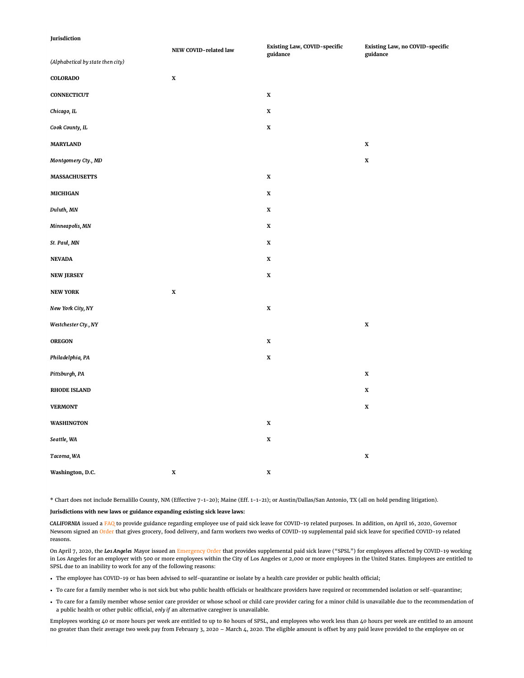### **Jurisdiction**

|                                   | NEW COVID-related law | Existing Law, COVID-specific<br>guidance | Existing Law, no COVID-specific<br>guidance |
|-----------------------------------|-----------------------|------------------------------------------|---------------------------------------------|
| (Alphabetical by state then city) |                       |                                          |                                             |
| <b>COLORADO</b>                   | $\mathbf X$           |                                          |                                             |
| <b>CONNECTICUT</b>                |                       | $\mathbf X$                              |                                             |
| Chicago, IL                       |                       | $\mathbf X$                              |                                             |
| Cook County, IL                   |                       | $\mathbf X$                              |                                             |
| <b>MARYLAND</b>                   |                       |                                          | $\mathbf x$                                 |
| Montgomery Cty., MD               |                       |                                          | $\mathbf X$                                 |
| <b>MASSACHUSETTS</b>              |                       | $\mathbf X$                              |                                             |
| <b>MICHIGAN</b>                   |                       | $\mathbf X$                              |                                             |
| Duluth, MN                        |                       | $\mathbf X$                              |                                             |
| Minneapolis, MN                   |                       | $\mathbf X$                              |                                             |
| St. Paul, MN                      |                       | $\mathbf X$                              |                                             |
| <b>NEVADA</b>                     |                       | $\mathbf X$                              |                                             |
| <b>NEW JERSEY</b>                 |                       | X                                        |                                             |
| <b>NEW YORK</b>                   | $\mathbf X$           |                                          |                                             |
| New York City, NY                 |                       | $\mathbf X$                              |                                             |
| Westchester Cty., NY              |                       |                                          | $\mathbf X$                                 |
| OREGON                            |                       | $\mathbf x$                              |                                             |
| Philadelphia, PA                  |                       | $\mathbf X$                              |                                             |
| Pittsburgh, PA                    |                       |                                          | $\mathbf X$                                 |
| <b>RHODE ISLAND</b>               |                       |                                          | $\mathbf x$                                 |
| <b>VERMONT</b>                    |                       |                                          | X                                           |
| <b>WASHINGTON</b>                 |                       | $\mathbf X$                              |                                             |
| Seattle, WA                       |                       | $\mathbf X$                              |                                             |
| Tacoma, WA                        |                       |                                          | $\mathbf X$                                 |
| Washington, D.C.                  | $\mathbf X$           | $\mathbf X$                              |                                             |

\* Chart does not include Bernalillo County, NM (Effective 7-1-20); Maine (Eff. 1-1-21); or Austin/Dallas/San Antonio, TX (all on hold pending litigation).

### **Jurisdictions with new laws or guidance expanding existing sick leave laws:**

CALIFORNIA issued a [FAQ](https://www.dir.ca.gov/dlse/2019-Novel-Coronavirus.htm?_sm_au_=iVVD4Tb5ZJSRJRLqJ8MfKK7vWLCsW) to provide guidance regarding employee use of paid sick leave for COVID-19 related purposes. In addition, on April 16, 2020, Governor Newsom signed an [Order](https://www.gov.ca.gov/wp-content/uploads/2020/04/4.16.20-EO-N-51-20.pdf) that gives grocery, food delivery, and farm workers two weeks of COVID-19 supplemental paid sick leave for specified COVID-19 related reasons.

On April 7, 2020, the Los Angeles Mayor issued an [Emergency Order](https://www.lamayor.org/sites/g/files/wph446/f/page/file/SUPPLEMENTALPAIDSICKLEAVE.pdf) that provides supplemental paid sick leave ("SPSL") for employees affected by COVID-19 working in Los Angeles for an employer with 500 or more employees within the City of Los Angeles or 2,000 or more employees in the United States. Employees are entitled to SPSL due to an inability to work for any of the following reasons:

- The employee has COVID-19 or has been advised to self-quarantine or isolate by a health care provider or public health official;
- To care for a family member who is not sick but who public health officials or healthcare providers have required or recommended isolation or self-quarantine;
- To care for a family member whose senior care provider or whose school or child care provider caring for a minor child is unavailable due to the recommendation of a public health or other public official, only if an alternative caregiver is unavailable.

Employees working 40 or more hours per week are entitled to up to 80 hours of SPSL, and employees who work less than 40 hours per week are entitled to an amount no greater than their average two week pay from February 3, 2020 – March 4, 2020. The eligible amount is offset by any paid leave provided to the employee on or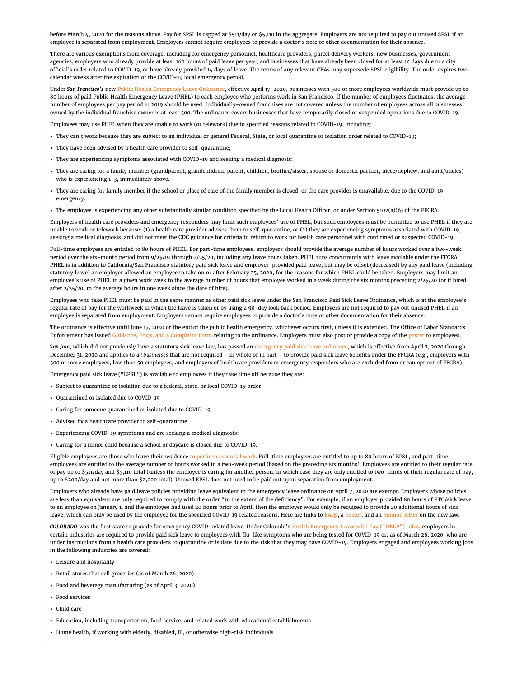before March 4, 2020 for the reasons above. Pay for SPSL is capped at \$511/day or \$5,110 in the aggregate. Employers are not required to pay out unused SPSL if an employee is separated from employment. Employers cannot require employees to provide a doctor's note or other documentation for their absence.

There are various exemptions from coverage, including for emergency personnel, healthcare providers, parcel delivery workers, new businesses, government agencies, employers who already provide at least 160 hours of paid leave per year, and businesses that have already been closed for at least 14 days due to a city official's order related to COVID-19, or have already provided 14 days of leave. The terms of any relevant CBAs may supersede SPSL eligibility. The order expires two calendar weeks after the expiration of the COVID-19 local emergency period.

Under San Francisco's new [Public Health Emergency Leave Ordinance,](https://sfgov.org/olse/sites/default/files/Public%20Health%20Emergency%20Leave%20-%20FINAL_0.pdf) effective April 17, 2020, businesses with 500 or more employees worldwide must provide up to 80 hours of paid Public Health Emergency Leave (PHEL) to each employee who performs work in San Francisco. If the number of employees fluctuates, the average number of employees per pay period in 2019 should be used. Individually-owned franchises are not covered unless the number of employees across all businesses owned by the individual franchise owner is at least 500. The ordinance covers businesses that have temporarily closed or suspended operations due to COVID-19.

Employees may use PHEL when they are unable to work (or telework) due to specified reasons related to COVID-19, including:

- They can't work because they are subject to an individual or general Federal, State, or local quarantine or isolation order related to COVID-19;
- They have been advised by a health care provider to self-quarantine;
- They are experiencing symptoms associated with COVID-19 and seeking a medical diagnosis;
- They are caring for a family member (grandparent, grandchildren, parent, children, brother/sister, spouse or domestic partner, niece/nephew, and aunt/uncles) who is experiencing 1-3, immediately above.
- They are caring for family member if the school or place of care of the family member is closed, or the care provider is unavailable, due to the COVID-19 emergency.
- The employee is experiencing any other substantially similar condition specified by the Local Health Officer, or under Section 5102(a)(6) of the FFCRA.

Employers of health care providers and emergency responders may limit such employees' use of PHEL, but such employees must be permitted to use PHEL if they are unable to work or telework because: (1) a health care provider advises them to self-quarantine, or (2) they are experiencing symptoms associated with COVID-19, seeking a medical diagnosis, and did not meet the CDC guidance for criteria to return to work for health care personnel with confirmed or suspected COVID-19.

Full-time employees are entitled to 80 hours of PHEL. For part-time employees, employers should provide the average number of hours worked over a two-week period over the six-month period from 9/25/19 through 2/25/20, including any leave hours taken. PHEL runs concurrently with leave available under the FFCRA. PHEL is in addition to California/San Francisco statutory paid sick leave and employer-provided paid leave, but may be offset (decreased) by any paid leave (including statutory leave) an employer allowed an employee to take on or after February 25, 2020, for the reasons for which PHEL could be taken. Employers may limit an employee's use of PHEL in a given work week to the average number of hours that employee worked in a week during the six months preceding 2/25/20 (or if hired after 2/25/20, to the average hours in one week since the date of hire).

Employees who take PHEL must be paid in the same manner as other paid sick leave under the San Francisco Paid Sick Leave Ordinance, which is at the employee's regular rate of pay for the workweek in which the leave is taken or by using a 90-day look back period. Employers are not required to pay out unused PHEL if an employee is separated from employment. Employers cannot require employees to provide a doctor's note or other documentation for their absence.

The ordinance is effective until June 17, 2020 or the end of the public health emergency, whichever occurs first, unless it is extended. The Office of Labor Standards Enforcement has issued [Guidance, FAQs, and a Complaint Form](https://sfgov.org/olse/) relating to the ordinance. Employers must also post or provide a copy of the [poster](https://sfgov.org/olse/sites/default/files/PHEL%20Poster%204.17.2020%20all%20languages_0.pdf) to employees.

San Jose, which did not previously have a statutory sick leave law, has passed an [emergency paid sick leave ordinance](https://www.sanjoseca.gov/home/showdocument?id=56816), which is effective from April 7, 2020 through December 31, 2020 and applies to all businesses that are not required – in whole or in part – to provide paid sick leave benefits under the FFCRA (e.g., employers with 500 or more employees, less than 50 employees, and employers of healthcare providers or emergency responders who are excluded from or can opt out of FFCRA).

Emergency paid sick leave ("EPSL") is available to employees if they take time off because they are:

- Subject to quarantine or isolation due to a federal, state, or local COVID-19 order
- Quarantined or isolated due to COVID-19
- Caring for someone quarantined or isolated due to COVID-19
- Advised by a healthcare provider to self-quarantine
- Experiencing COVID-19 symptoms and are seeking a medical diagnosis;
- Caring for a minor child because a school or daycare is closed due to COVID-19.

Eligible employees are those who leave their residence [to perform essential work.](https://www.sccgov.org/sites/phd/DiseaseInformation/novel-coronavirus/Pages/order-health-officer-031620.aspx) Full-time employees are entitled to up to 80 hours of EPSL, and part-time employees are entitled to the average number of hours worked in a two-week period (based on the preceding six months). Employees are entitled to their regular rate of pay up to \$511/day and \$5,110 total (unless the employee is caring for another person, in which case they are only entitled to two-thirds of their regular rate of pay, up to \$200/day and not more than \$2,000 total). Unused EPSL does not need to be paid out upon separation from employment.

Employers who already have paid leave policies providing leave equivalent to the emergency leave ordinance on April 7, 2020 are exempt. Employers whose policies are less than equivalent are only required to comply with the order "to the extent of the deficiency". For example, if an employer provided 80 hours of PTO/sick leave to an employee on January 1, and the employee had used 20 hours prior to April, then the employer would only be required to provide 20 additional hours of sick leave, which can only be used by the employee for the specified COVID-19 related reasons. Here are links to [FAQs,](https://www.sanjoseca.gov/home/showdocument?id=56820) a [poster](https://www.sanjoseca.gov/home/showdocument?id=56818), and an [opinion letter](https://www.sanjoseca.gov/home/showdocument?id=56872) on the new law.

COLORADO was the first state to provide for emergency COVID-related leave. Under Colorado's [Health Emergency Leave with Pay \("HELP"\) rules,](https://www.colorado.gov/pacific/cdle/colorado-health-emergency-leave-pay-%E2%80%9Ccolorado-help%E2%80%9D-rules) employers in certain industries are required to provide paid sick leave to employees with flu-like symptoms who are being tested for COVID-19 or, as of March 26, 2020, who are under instructions from a health care providers to quarantine or isolate due to the risk that they may have COVID-19. Employers engaged and employees working jobs in the following industries are covered:

- Leisure and hospitality
- Retail stores that sell groceries (as of March 26, 2020)
- Food and beverage manufacturing (as of April 3, 2020)
- Food services
- Child care
- Education, including transportation, food service, and related work with educational establishments
- Home health, if working with elderly, disabled, ill, or otherwise high-risk individuals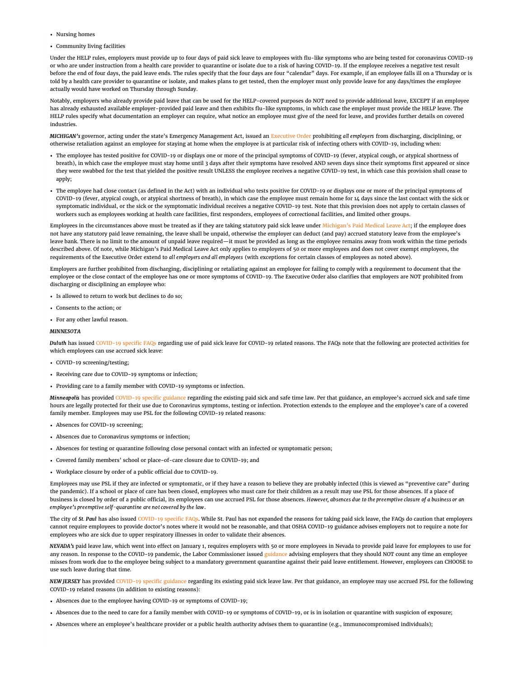- Nursing homes
- Community living facilities

Under the HELP rules, employers must provide up to four days of paid sick leave to employees with flu-like symptoms who are being tested for coronavirus COVID-19 or who are under instruction from a health care provider to quarantine or isolate due to a risk of having COVID-19. If the employee receives a negative test result before the end of four days, the paid leave ends. The rules specify that the four days are four "calendar" days. For example, if an employee falls ill on a Thursday or is told by a health care provider to quarantine or isolate, and makes plans to get tested, then the employer must only provide leave for any days/times the employee actually would have worked on Thursday through Sunday.

Notably, employers who already provide paid leave that can be used for the HELP-covered purposes do NOT need to provide additional leave, EXCEPT if an employee has already exhausted available employer-provided paid leave and then exhibits flu-like symptoms, in which case the employer must provide the HELP leave. The HELP rules specify what documentation an employer can require, what notice an employee must give of the need for leave, and provides further details on covered industries.

MICHIGAN's governor, acting under the state's Emergency Management Act, issued an [Executive Order](https://content.govdelivery.com/attachments/MIEOG/2020/04/03/file_attachments/1418576/EO%202020-36.pdf) prohibiting all employers from discharging, disciplining, or otherwise retaliation against an employee for staying at home when the employee is at particular risk of infecting others with COVID-19, including when:

- The employee has tested positive for COVID-19 or displays one or more of the principal symptoms of COVID-19 (fever, atypical cough, or atypical shortness of breath), in which case the employee must stay home until 3 days after their symptoms have resolved AND seven days since their symptoms first appeared or since they were swabbed for the test that yielded the positive result UNLESS the employee receives a negative COVID-19 test, in which case this provision shall cease to apply;
- The employee had close contact (as defined in the Act) with an individual who tests positive for COVID-19 or displays one or more of the principal symptoms of COVID-19 (fever, atypical cough, or atypical shortness of breath), in which case the employee must remain home for 14 days since the last contact with the sick or symptomatic individual, or the sick or the symptomatic individual receives a negative COVID-19 test. Note that this provision does not apply to certain classes of workers such as employees working at health care facilities, first responders, employees of correctional facilities, and limited other groups.

Employees in the circumstances above must be treated as if they are taking statutory paid sick leave under [Michigan's Paid Medical Leave Act;](http://www.legislature.mi.gov/(S(2x4zwsqqhneyhtupqlahal0x))/mileg.aspx?page=GetObject&objectname=mcl-Act-338-of-2018) if the employee does not have any statutory paid leave remaining, the leave shall be unpaid, otherwise the employer can deduct (and pay) accrued statutory leave from the employee's leave bank. There is no limit to the amount of unpaid leave required—it must be provided as long as the employee remains away from work within the time periods described above. Of note, while Michigan's Paid Medical Leave Act only applies to employers of 50 or more employees and does not cover exempt employees, the requirements of the Executive Order extend to all employers and all employees (with exceptions for certain classes of employees as noted above).

Employers are further prohibited from discharging, disciplining or retaliating against an employee for failing to comply with a requirement to document that the employee or the close contact of the employee has one or more symptoms of COVID-19. The Executive Order also clarifies that employers are NOT prohibited from discharging or disciplining an employee who:

- Is allowed to return to work but declines to do so;
- Consents to the action; or
- For any other lawful reason.

#### MINNESOTA

Duluth has issued [COVID-19 specific FAQs](https://duluthmn.gov/media/9458/covid19-info.pdf) regarding use of paid sick leave for COVID-19 related reasons. The FAQs note that the following are protected activities for which employees can use accrued sick leave:

- COVID-19 screening/testing;
- Receiving care due to COVID-19 symptoms or infection;
- Providing care to a family member with COVID-19 symptoms or infection.

Minneapolis has provided [COVID-19 specific guidance](http://sicktimeinfo.minneapolismn.gov/uploads/9/6/3/1/96313024/covid-19_and_sst_final_3.30.20.pdf) regarding the existing paid sick and safe time law. Per that guidance, an employee's accrued sick and safe time hours are legally protected for their use due to Coronavirus symptoms, testing or infection. Protection extends to the employee and the employee's care of a covered family member. Employees may use PSL for the following COVID-19 related reasons:

- Absences for COVID-19 screening;
- Absences due to Coronavirus symptoms or infection;
- Absences for testing or quarantine following close personal contact with an infected or symptomatic person;
- Covered family members' school or place-of-care closure due to COVID-19; and
- Workplace closure by order of a public official due to COVID-19.

Employees may use PSL if they are infected or symptomatic, or if they have a reason to believe they are probably infected (this is viewed as "preventive care" during the pandemic). If a school or place of care has been closed, employees who must care for their children as a result may use PSL for those absences. If a place of business is closed by order of a public official, its employees can use accrued PSL for those absences. However, absences due to the preemptive closure of a business or an employee's preemptive self-quarantine are not covered by the law.

The city of St. Paul has also issued [COVID-19 specific FAQs.](https://www.stpaul.gov/sites/default/files/Media%20Root/Human%20Rights%20%26%20Equal%20Economic%20Opportunity/Earned%20Sick%20and%20Safe%20Time%20FAQ%20COVID%20PDF.pdf) While St. Paul has not expanded the reasons for taking paid sick leave, the FAQs do caution that employers cannot require employees to provide doctor's notes where it would not be reasonable, and that OSHA COVID-19 guidance advises employers not to require a note for employees who are sick due to upper respiratory illnesses in order to validate their absences.

NEVADA's paid leave law, which went into effect on January 1, requires employers with 50 or more employees in Nevada to provide paid leave for employees to use for any reason. In response to the COVID-19 pandemic, the Labor Commissioner issued [guidance](http://labor.nv.gov/uploadedFiles/labornvgov/content/Employer/COVID-19%20Leave%20Guidance.pdf) advising employers that they should NOT count any time an employee misses from work due to the employee being subject to a mandatory government quarantine against their paid leave entitlement. However, employees can CHOOSE to use such leave during that time.

NEW JERSEY has provided [COVID-19 specific guidance](https://www.nj.gov/labor/worker-protections/earnedsick/covid.shtml) regarding its existing paid sick leave law. Per that guidance, an employee may use accrued PSL for the following COVID-19 related reasons (in addition to existing reasons):

- Absences due to the employee having COVID-19 or symptoms of COVID-19;
- Absences due to the need to care for a family member with COVID-19 or symptoms of COVID-19, or is in isolation or quarantine with suspicion of exposure;
- Absences where an employee's healthcare provider or a public health authority advises them to quarantine (e.g., immunocompromised individuals);